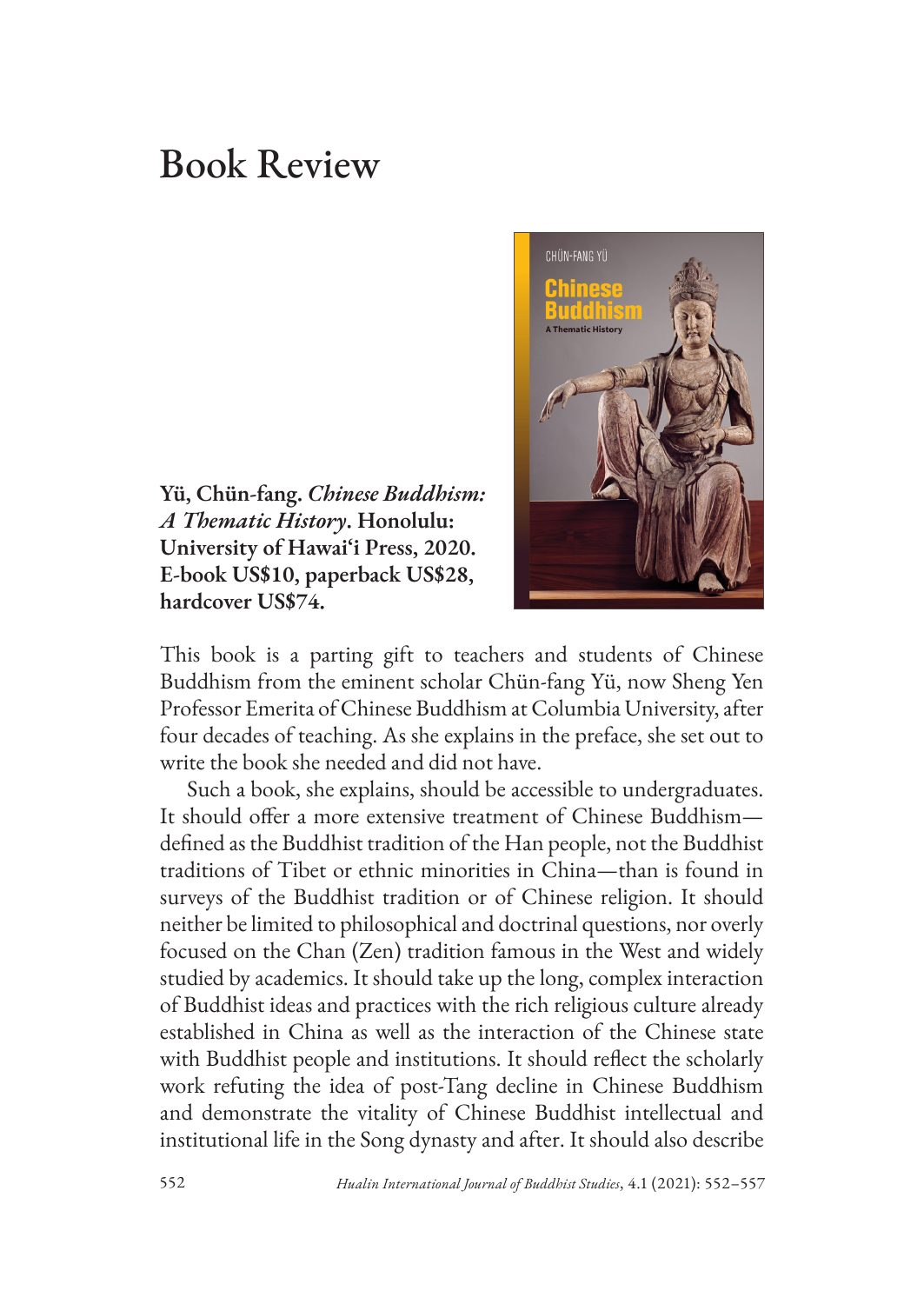## Book Review

**Yü, Chün-fang.** *Chinese Buddhism: A Thematic History***. Honolulu: University of Hawai'i Press, 2020. E-book US\$10, paperback US\$28, hardcover US\$74.** 



This book is a parting gift to teachers and students of Chinese Buddhism from the eminent scholar Chün-fang Yü, now Sheng Yen Professor Emerita of Chinese Buddhism at Columbia University, after four decades of teaching. As she explains in the preface, she set out to write the book she needed and did not have.

Such a book, she explains, should be accessible to undergraduates. It should offer a more extensive treatment of Chinese Buddhism defined as the Buddhist tradition of the Han people, not the Buddhist traditions of Tibet or ethnic minorities in China—than is found in surveys of the Buddhist tradition or of Chinese religion. It should neither be limited to philosophical and doctrinal questions, nor overly focused on the Chan (Zen) tradition famous in the West and widely studied by academics. It should take up the long, complex interaction of Buddhist ideas and practices with the rich religious culture already established in China as well as the interaction of the Chinese state with Buddhist people and institutions. It should reflect the scholarly work refuting the idea of post-Tang decline in Chinese Buddhism and demonstrate the vitality of Chinese Buddhist intellectual and institutional life in the Song dynasty and after. It should also describe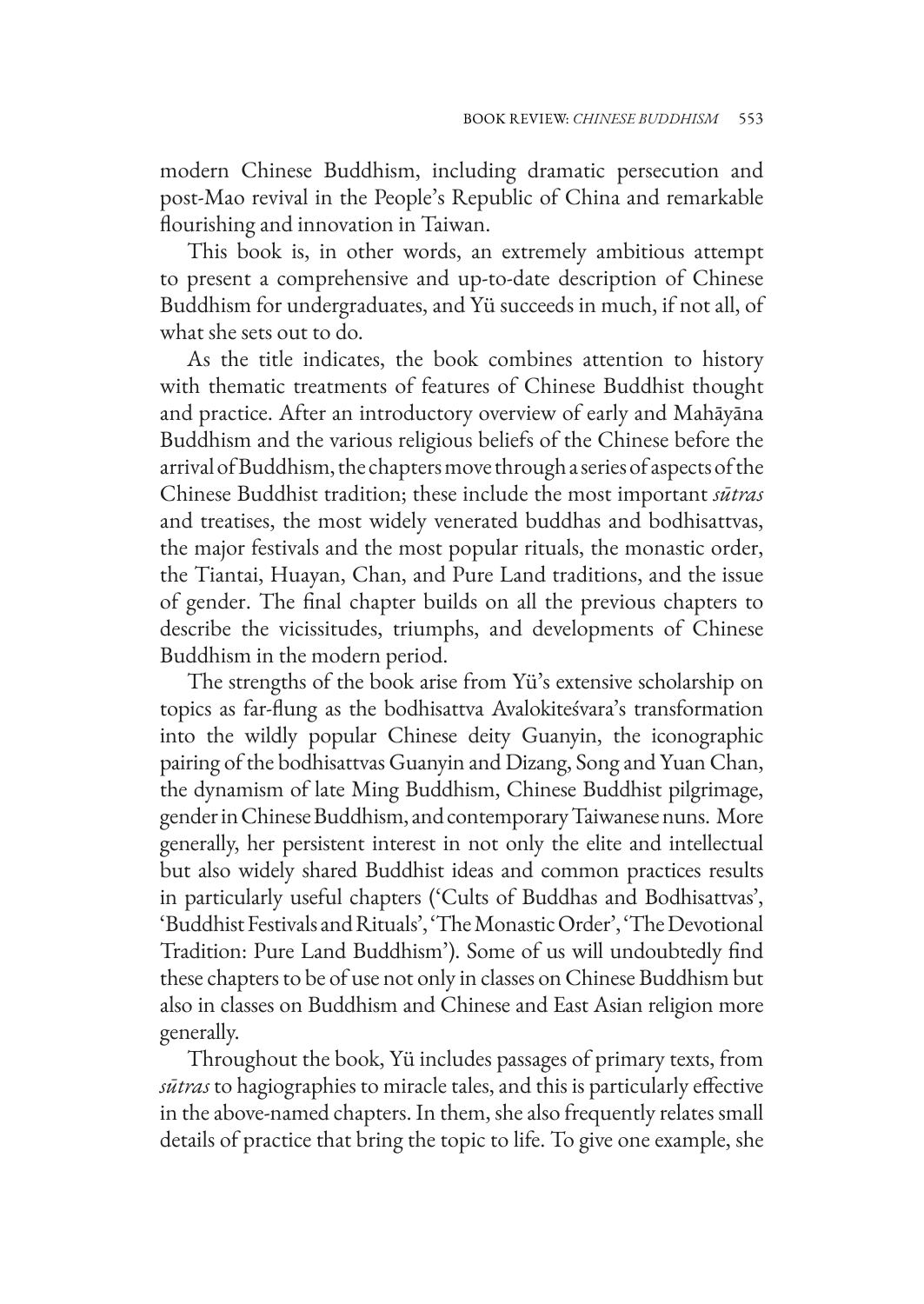modern Chinese Buddhism, including dramatic persecution and post-Mao revival in the People's Republic of China and remarkable flourishing and innovation in Taiwan.

This book is, in other words, an extremely ambitious attempt to present a comprehensive and up-to-date description of Chinese Buddhism for undergraduates, and Yü succeeds in much, if not all, of what she sets out to do.

As the title indicates, the book combines attention to history with thematic treatments of features of Chinese Buddhist thought and practice. After an introductory overview of early and Mahāyāna Buddhism and the various religious beliefs of the Chinese before the arrival of Buddhism, the chapters move through a series of aspects of the Chinese Buddhist tradition; these include the most important *sūtras* and treatises, the most widely venerated buddhas and bodhisattvas, the major festivals and the most popular rituals, the monastic order, the Tiantai, Huayan, Chan, and Pure Land traditions, and the issue of gender. The final chapter builds on all the previous chapters to describe the vicissitudes, triumphs, and developments of Chinese Buddhism in the modern period.

The strengths of the book arise from Yü's extensive scholarship on topics as far-flung as the bodhisattva Avalokiteśvara's transformation into the wildly popular Chinese deity Guanyin, the iconographic pairing of the bodhisattvas Guanyin and Dizang, Song and Yuan Chan, the dynamism of late Ming Buddhism, Chinese Buddhist pilgrimage, gender in Chinese Buddhism, and contemporary Taiwanese nuns. More generally, her persistent interest in not only the elite and intellectual but also widely shared Buddhist ideas and common practices results in particularly useful chapters ('Cults of Buddhas and Bodhisattvas', 'Buddhist Festivals and Rituals', 'The Monastic Order', 'The Devotional Tradition: Pure Land Buddhism'). Some of us will undoubtedly find these chapters to be of use not only in classes on Chinese Buddhism but also in classes on Buddhism and Chinese and East Asian religion more generally.

Throughout the book, Yü includes passages of primary texts, from *sūtras* to hagiographies to miracle tales, and this is particularly effective in the above-named chapters. In them, she also frequently relates small details of practice that bring the topic to life. To give one example, she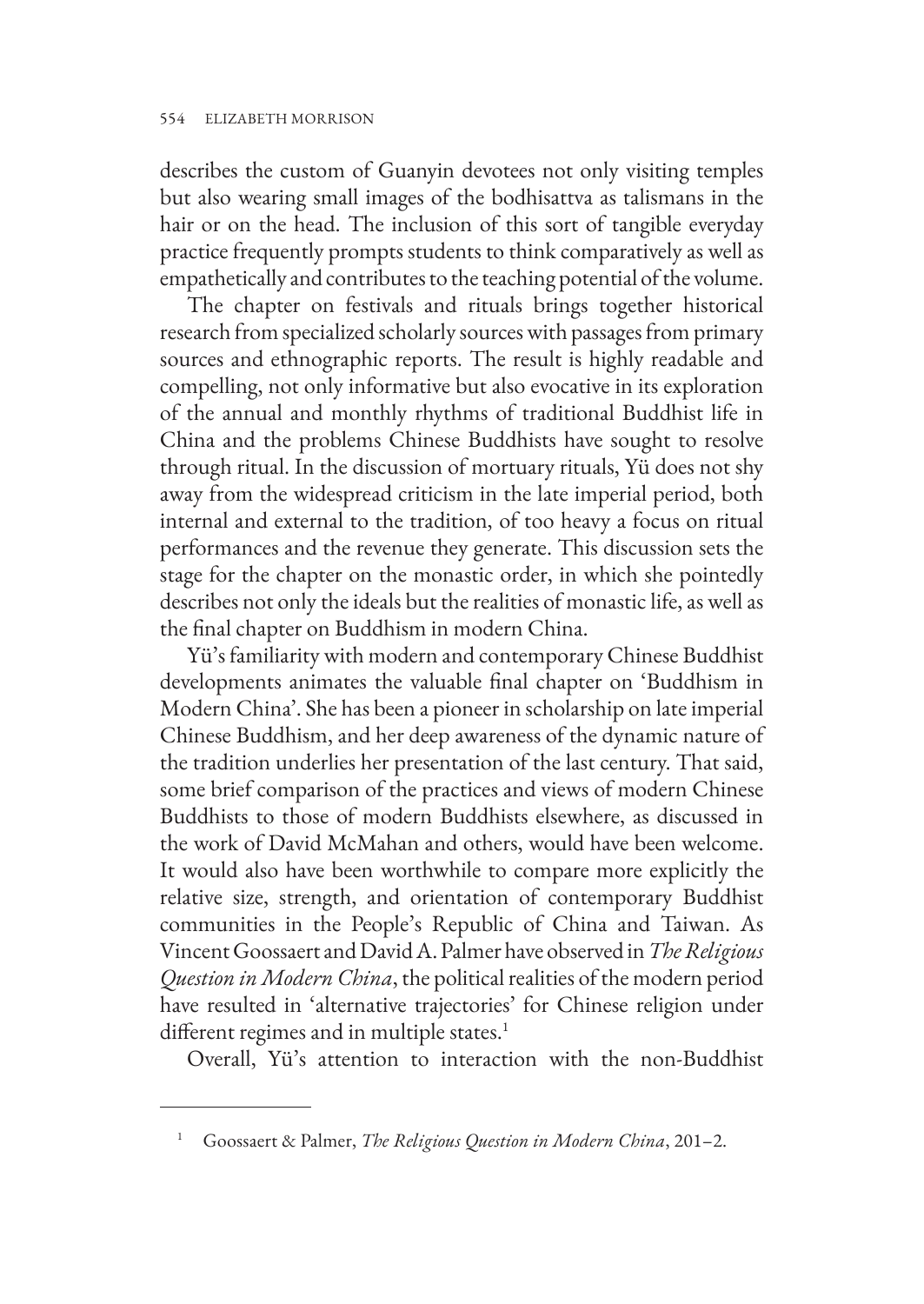describes the custom of Guanyin devotees not only visiting temples but also wearing small images of the bodhisattva as talismans in the hair or on the head. The inclusion of this sort of tangible everyday practice frequently prompts students to think comparatively as well as empathetically and contributes to the teaching potential of the volume.

The chapter on festivals and rituals brings together historical research from specialized scholarly sources with passages from primary sources and ethnographic reports. The result is highly readable and compelling, not only informative but also evocative in its exploration of the annual and monthly rhythms of traditional Buddhist life in China and the problems Chinese Buddhists have sought to resolve through ritual. In the discussion of mortuary rituals, Yü does not shy away from the widespread criticism in the late imperial period, both internal and external to the tradition, of too heavy a focus on ritual performances and the revenue they generate. This discussion sets the stage for the chapter on the monastic order, in which she pointedly describes not only the ideals but the realities of monastic life, as well as the final chapter on Buddhism in modern China.

Yü's familiarity with modern and contemporary Chinese Buddhist developments animates the valuable final chapter on 'Buddhism in Modern China'. She has been a pioneer in scholarship on late imperial Chinese Buddhism, and her deep awareness of the dynamic nature of the tradition underlies her presentation of the last century. That said, some brief comparison of the practices and views of modern Chinese Buddhists to those of modern Buddhists elsewhere, as discussed in the work of David McMahan and others, would have been welcome. It would also have been worthwhile to compare more explicitly the relative size, strength, and orientation of contemporary Buddhist communities in the People's Republic of China and Taiwan. As Vincent Goossaert and David A. Palmer have observed in *The Religious Question in Modern China*, the political realities of the modern period have resulted in 'alternative trajectories' for Chinese religion under different regimes and in multiple states.<sup>1</sup>

Overall, Yü's attention to interaction with the non-Buddhist

<sup>1</sup> Goossaert & Palmer, *The Religious Question in Modern China*, 201–2.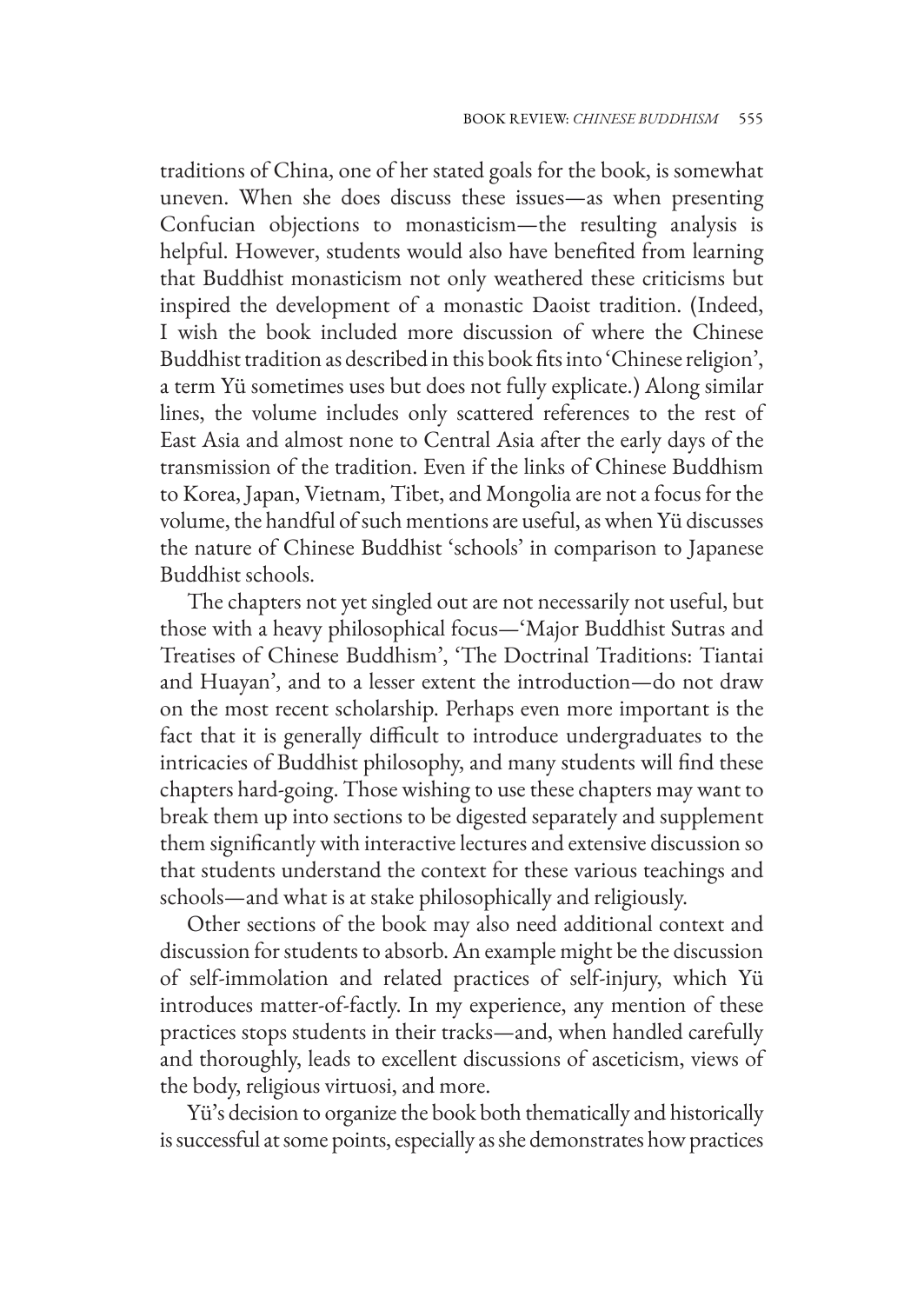traditions of China, one of her stated goals for the book, is somewhat uneven. When she does discuss these issues—as when presenting Confucian objections to monasticism—the resulting analysis is helpful. However, students would also have benefited from learning that Buddhist monasticism not only weathered these criticisms but inspired the development of a monastic Daoist tradition. (Indeed, I wish the book included more discussion of where the Chinese Buddhist tradition as described in this book fits into 'Chinese religion', a term Yü sometimes uses but does not fully explicate.) Along similar lines, the volume includes only scattered references to the rest of East Asia and almost none to Central Asia after the early days of the transmission of the tradition. Even if the links of Chinese Buddhism to Korea, Japan, Vietnam, Tibet, and Mongolia are not a focus for the volume, the handful of such mentions are useful, as when Yü discusses the nature of Chinese Buddhist 'schools' in comparison to Japanese Buddhist schools.

The chapters not yet singled out are not necessarily not useful, but those with a heavy philosophical focus—'Major Buddhist Sutras and Treatises of Chinese Buddhism', 'The Doctrinal Traditions: Tiantai and Huayan', and to a lesser extent the introduction—do not draw on the most recent scholarship. Perhaps even more important is the fact that it is generally difficult to introduce undergraduates to the intricacies of Buddhist philosophy, and many students will find these chapters hard-going. Those wishing to use these chapters may want to break them up into sections to be digested separately and supplement them significantly with interactive lectures and extensive discussion so that students understand the context for these various teachings and schools—and what is at stake philosophically and religiously.

Other sections of the book may also need additional context and discussion for students to absorb. An example might be the discussion of self-immolation and related practices of self-injury, which Yü introduces matter-of-factly. In my experience, any mention of these practices stops students in their tracks—and, when handled carefully and thoroughly, leads to excellent discussions of asceticism, views of the body, religious virtuosi, and more.

Yü's decision to organize the book both thematically and historically is successful at some points, especially as she demonstrates how practices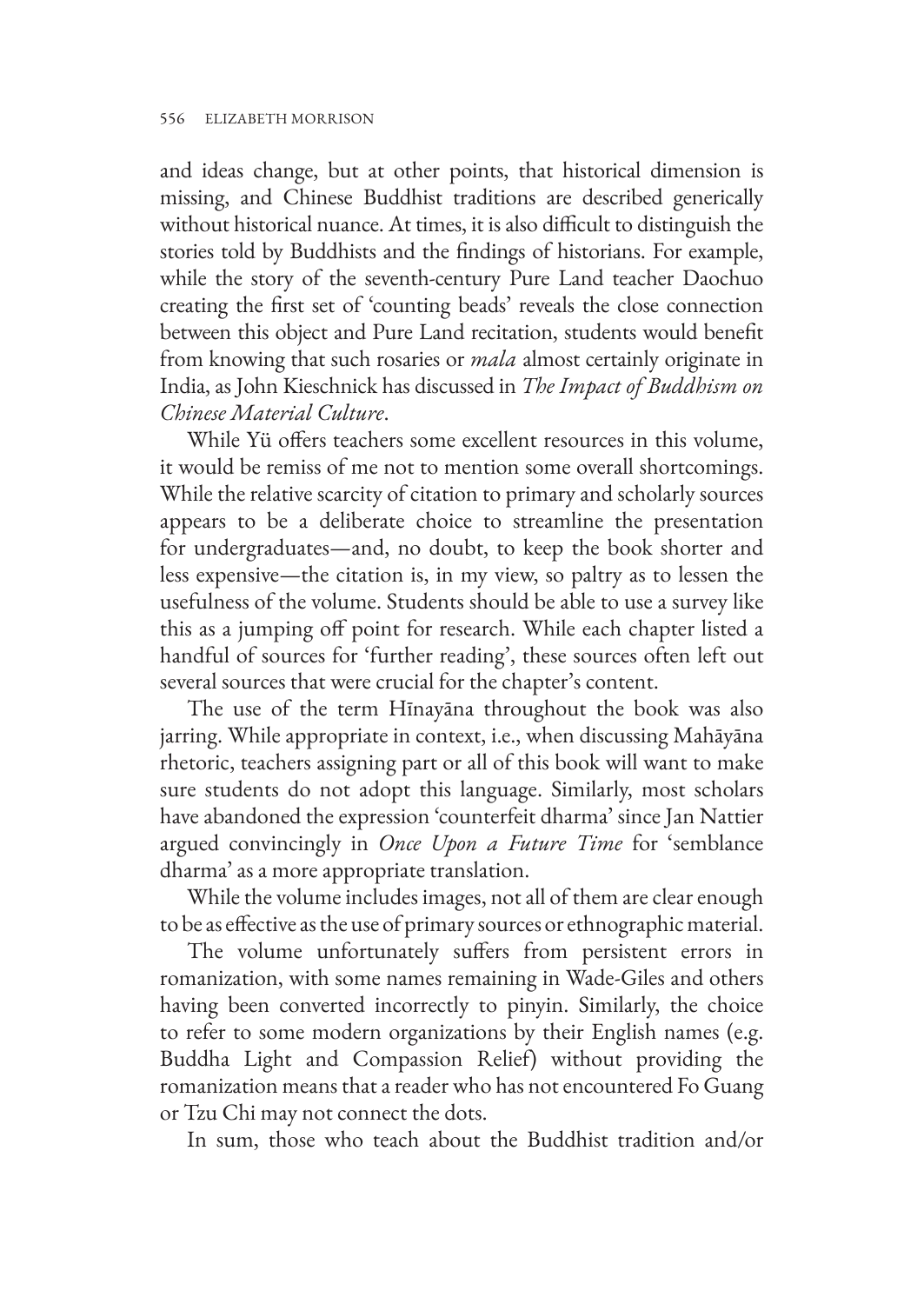and ideas change, but at other points, that historical dimension is missing, and Chinese Buddhist traditions are described generically without historical nuance. At times, it is also difficult to distinguish the stories told by Buddhists and the findings of historians. For example, while the story of the seventh-century Pure Land teacher Daochuo creating the first set of 'counting beads' reveals the close connection between this object and Pure Land recitation, students would benefit from knowing that such rosaries or *mala* almost certainly originate in India, as John Kieschnick has discussed in *The Impact of Buddhism on Chinese Material Culture*.

While Yü offers teachers some excellent resources in this volume, it would be remiss of me not to mention some overall shortcomings. While the relative scarcity of citation to primary and scholarly sources appears to be a deliberate choice to streamline the presentation for undergraduates—and, no doubt, to keep the book shorter and less expensive—the citation is, in my view, so paltry as to lessen the usefulness of the volume. Students should be able to use a survey like this as a jumping off point for research. While each chapter listed a handful of sources for 'further reading', these sources often left out several sources that were crucial for the chapter's content.

The use of the term Hīnayāna throughout the book was also jarring. While appropriate in context, i.e., when discussing Mahāyāna rhetoric, teachers assigning part or all of this book will want to make sure students do not adopt this language. Similarly, most scholars have abandoned the expression 'counterfeit dharma' since Jan Nattier argued convincingly in *Once Upon a Future Time* for 'semblance dharma' as a more appropriate translation.

While the volume includes images, not all of them are clear enough to be as effective as the use of primary sources or ethnographic material.

The volume unfortunately suffers from persistent errors in romanization, with some names remaining in Wade-Giles and others having been converted incorrectly to pinyin. Similarly, the choice to refer to some modern organizations by their English names (e.g. Buddha Light and Compassion Relief) without providing the romanization means that a reader who has not encountered Fo Guang or Tzu Chi may not connect the dots.

In sum, those who teach about the Buddhist tradition and/or